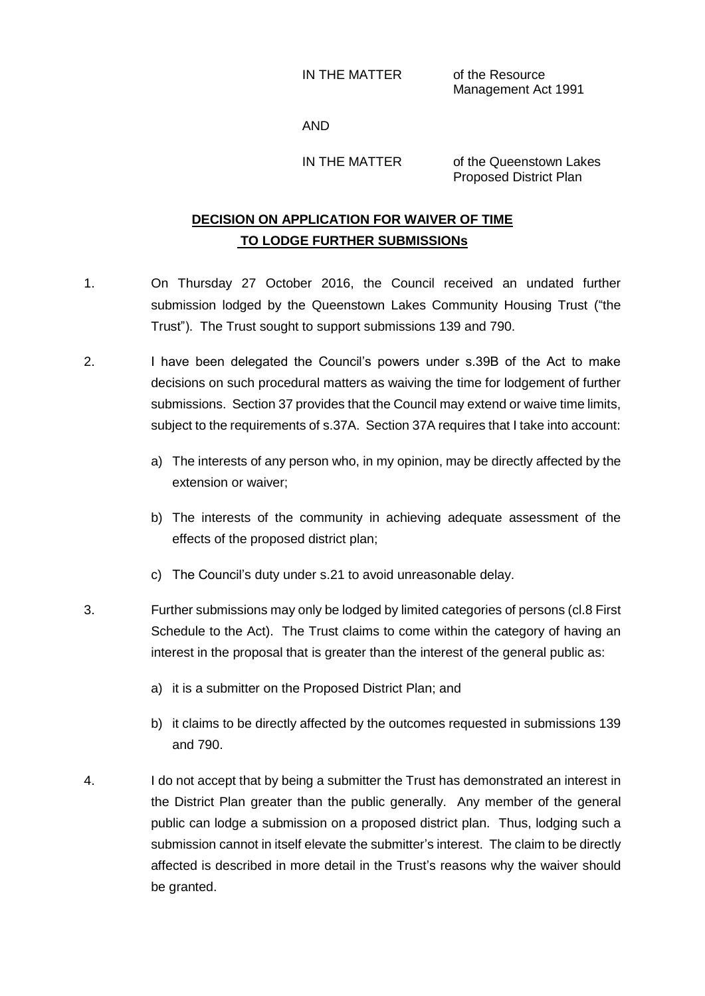IN THE MATTER of the Resource

Management Act 1991

AND

IN THE MATTER of the Queenstown Lakes Proposed District Plan

# **DECISION ON APPLICATION FOR WAIVER OF TIME TO LODGE FURTHER SUBMISSIONs**

- 1. On Thursday 27 October 2016, the Council received an undated further submission lodged by the Queenstown Lakes Community Housing Trust ("the Trust"). The Trust sought to support submissions 139 and 790.
- 2. I have been delegated the Council's powers under s.39B of the Act to make decisions on such procedural matters as waiving the time for lodgement of further submissions. Section 37 provides that the Council may extend or waive time limits, subject to the requirements of s.37A. Section 37A requires that I take into account:
	- a) The interests of any person who, in my opinion, may be directly affected by the extension or waiver;
	- b) The interests of the community in achieving adequate assessment of the effects of the proposed district plan;
	- c) The Council's duty under s.21 to avoid unreasonable delay.
- 3. Further submissions may only be lodged by limited categories of persons (cl.8 First Schedule to the Act). The Trust claims to come within the category of having an interest in the proposal that is greater than the interest of the general public as:
	- a) it is a submitter on the Proposed District Plan; and
	- b) it claims to be directly affected by the outcomes requested in submissions 139 and 790.
- 4. I do not accept that by being a submitter the Trust has demonstrated an interest in the District Plan greater than the public generally. Any member of the general public can lodge a submission on a proposed district plan. Thus, lodging such a submission cannot in itself elevate the submitter's interest. The claim to be directly affected is described in more detail in the Trust's reasons why the waiver should be granted.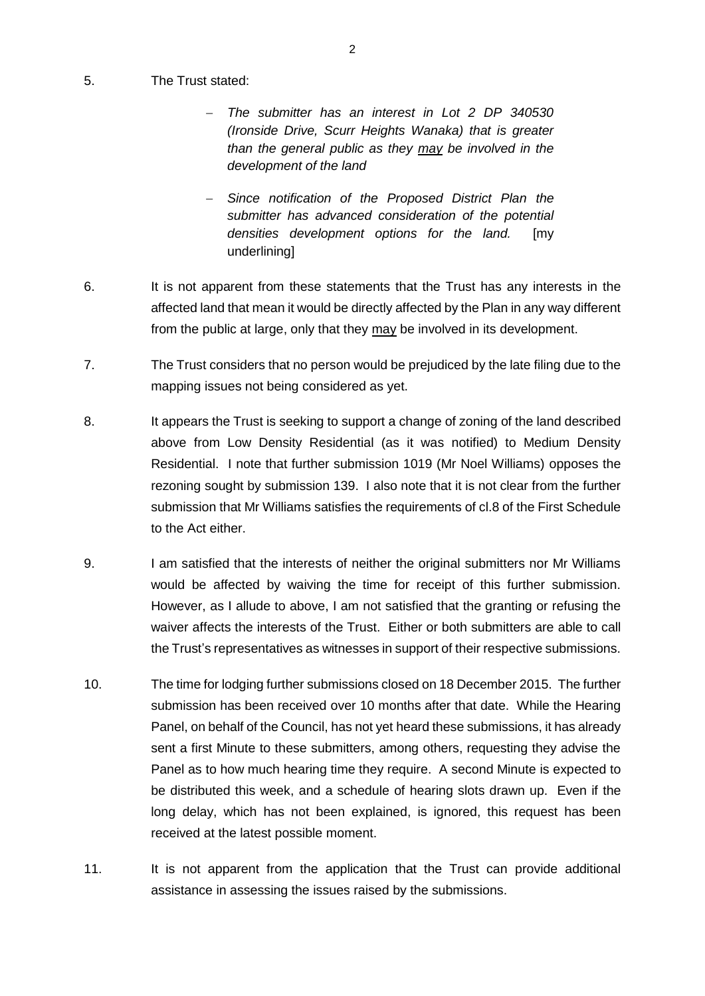#### 5. The Trust stated:

- *The submitter has an interest in Lot 2 DP 340530 (Ironside Drive, Scurr Heights Wanaka) that is greater than the general public as they may be involved in the development of the land*
- *Since notification of the Proposed District Plan the submitter has advanced consideration of the potential densities development options for the land.* [my underlining]
- 6. It is not apparent from these statements that the Trust has any interests in the affected land that mean it would be directly affected by the Plan in any way different from the public at large, only that they may be involved in its development.
- 7. The Trust considers that no person would be prejudiced by the late filing due to the mapping issues not being considered as yet.
- 8. It appears the Trust is seeking to support a change of zoning of the land described above from Low Density Residential (as it was notified) to Medium Density Residential. I note that further submission 1019 (Mr Noel Williams) opposes the rezoning sought by submission 139. I also note that it is not clear from the further submission that Mr Williams satisfies the requirements of cl.8 of the First Schedule to the Act either.
- 9. I am satisfied that the interests of neither the original submitters nor Mr Williams would be affected by waiving the time for receipt of this further submission. However, as I allude to above, I am not satisfied that the granting or refusing the waiver affects the interests of the Trust. Either or both submitters are able to call the Trust's representatives as witnesses in support of their respective submissions.
- 10. The time for lodging further submissions closed on 18 December 2015. The further submission has been received over 10 months after that date. While the Hearing Panel, on behalf of the Council, has not yet heard these submissions, it has already sent a first Minute to these submitters, among others, requesting they advise the Panel as to how much hearing time they require. A second Minute is expected to be distributed this week, and a schedule of hearing slots drawn up. Even if the long delay, which has not been explained, is ignored, this request has been received at the latest possible moment.
- 11. It is not apparent from the application that the Trust can provide additional assistance in assessing the issues raised by the submissions.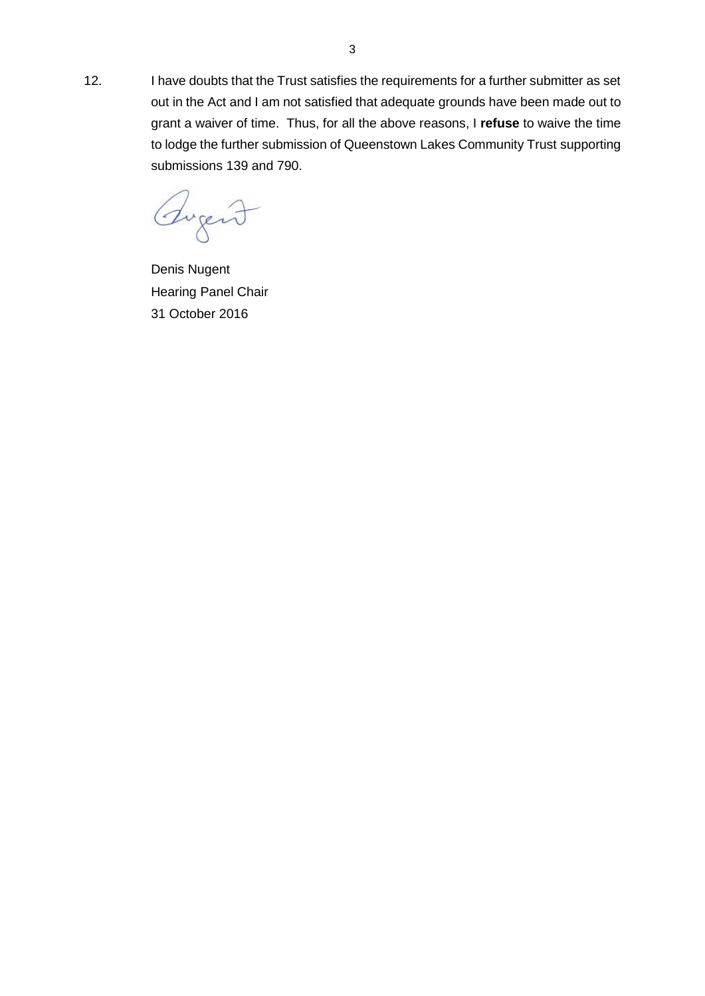12. I have doubts that the Trust satisfies the requirements for a further submitter as set out in the Act and I am not satisfied that adequate grounds have been made out to grant a waiver of time. Thus, for all the above reasons, I **refuse** to waive the time to lodge the further submission of Queenstown Lakes Community Trust supporting submissions 139 and 790.

Augent

Denis Nugent Hearing Panel Chair 31 October 2016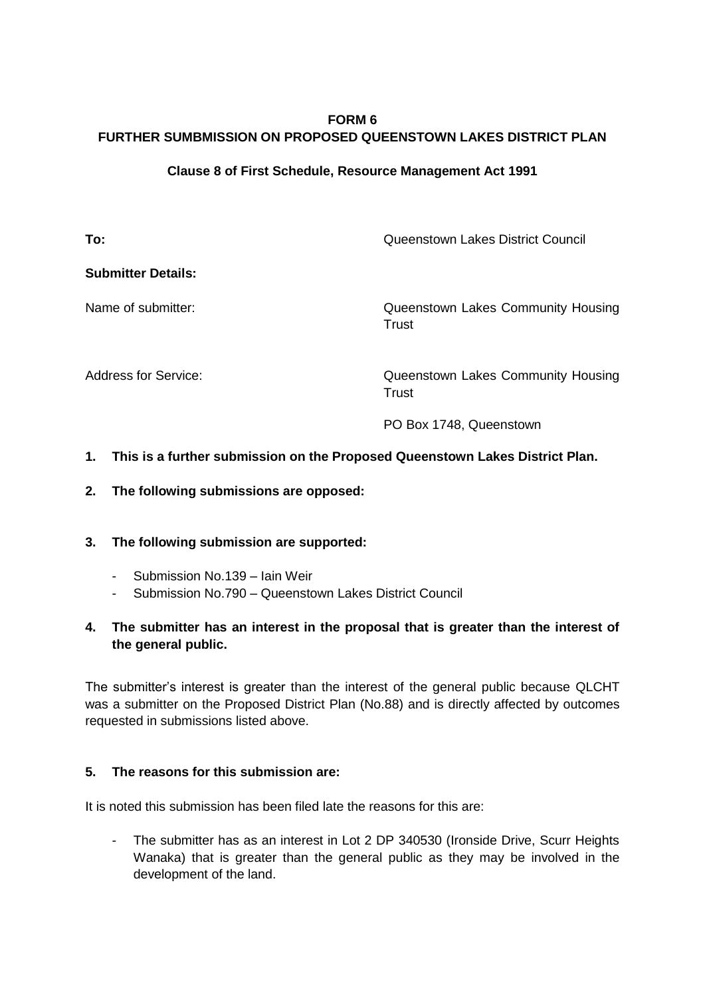## **FORM 6 FURTHER SUMBMISSION ON PROPOSED QUEENSTOWN LAKES DISTRICT PLAN**

### **Clause 8 of First Schedule, Resource Management Act 1991**

**To: To: The Council Council Council Council Council Council Council Council Council Council Council Council Council Council Council Council Council Council Council Council Council Council Council Council Council Counc** 

**Submitter Details:** 

Name of submitter: Queenstown Lakes Community Housing Trust

Address for Service:  $\qquad \qquad \qquad$  Queenstown Lakes Community Housing **Trust** 

PO Box 1748, Queenstown

### **1. This is a further submission on the Proposed Queenstown Lakes District Plan.**

**2. The following submissions are opposed:**

#### **3. The following submission are supported:**

- Submission No.139 Iain Weir
- Submission No.790 Queenstown Lakes District Council

### **4. The submitter has an interest in the proposal that is greater than the interest of the general public.**

The submitter's interest is greater than the interest of the general public because QLCHT was a submitter on the Proposed District Plan (No.88) and is directly affected by outcomes requested in submissions listed above.

### **5. The reasons for this submission are:**

It is noted this submission has been filed late the reasons for this are:

The submitter has as an interest in Lot 2 DP 340530 (Ironside Drive, Scurr Heights Wanaka) that is greater than the general public as they may be involved in the development of the land.